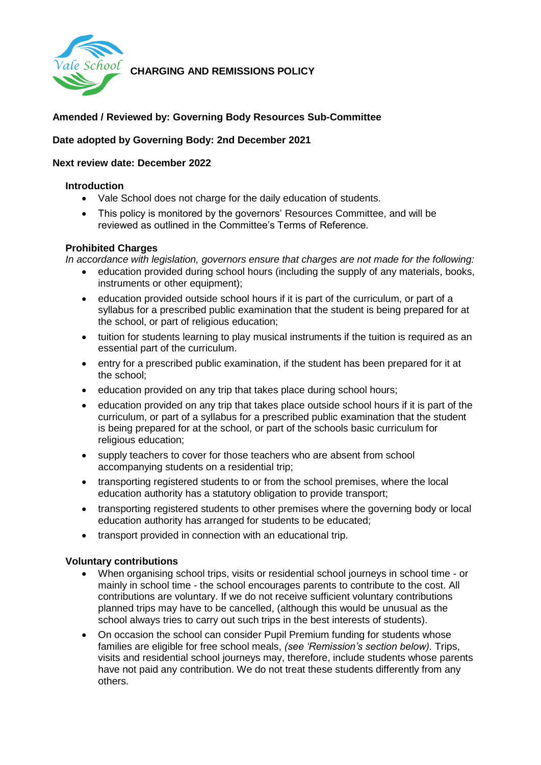

**CHARGING AND REMISSIONS POLICY** 

# **Amended / Reviewed by: Governing Body Resources Sub-Committee**

## **Date adopted by Governing Body: 2nd December 2021**

### **Next review date: December 2022**

### **Introduction**

- Vale School does not charge for the daily education of students.
- This policy is monitored by the governors' Resources Committee, and will be reviewed as outlined in the Committee's Terms of Reference.

### **Prohibited Charges**

*In accordance with legislation, governors ensure that charges are not made for the following:* 

- education provided during school hours (including the supply of any materials, books, instruments or other equipment);
- education provided outside school hours if it is part of the curriculum, or part of a syllabus for a prescribed public examination that the student is being prepared for at the school, or part of religious education;
- tuition for students learning to play musical instruments if the tuition is required as an essential part of the curriculum.
- entry for a prescribed public examination, if the student has been prepared for it at the school;
- education provided on any trip that takes place during school hours;
- education provided on any trip that takes place outside school hours if it is part of the curriculum, or part of a syllabus for a prescribed public examination that the student is being prepared for at the school, or part of the schools basic curriculum for religious education;
- supply teachers to cover for those teachers who are absent from school accompanying students on a residential trip;
- transporting registered students to or from the school premises, where the local education authority has a statutory obligation to provide transport;
- transporting registered students to other premises where the governing body or local education authority has arranged for students to be educated;
- transport provided in connection with an educational trip.

#### **Voluntary contributions**

- When organising school trips, visits or residential school journeys in school time or mainly in school time - the school encourages parents to contribute to the cost. All contributions are voluntary. If we do not receive sufficient voluntary contributions planned trips may have to be cancelled, (although this would be unusual as the school always tries to carry out such trips in the best interests of students).
- On occasion the school can consider Pupil Premium funding for students whose families are eligible for free school meals, *(see 'Remission's section below).* Trips, visits and residential school journeys may, therefore, include students whose parents have not paid any contribution. We do not treat these students differently from any others.